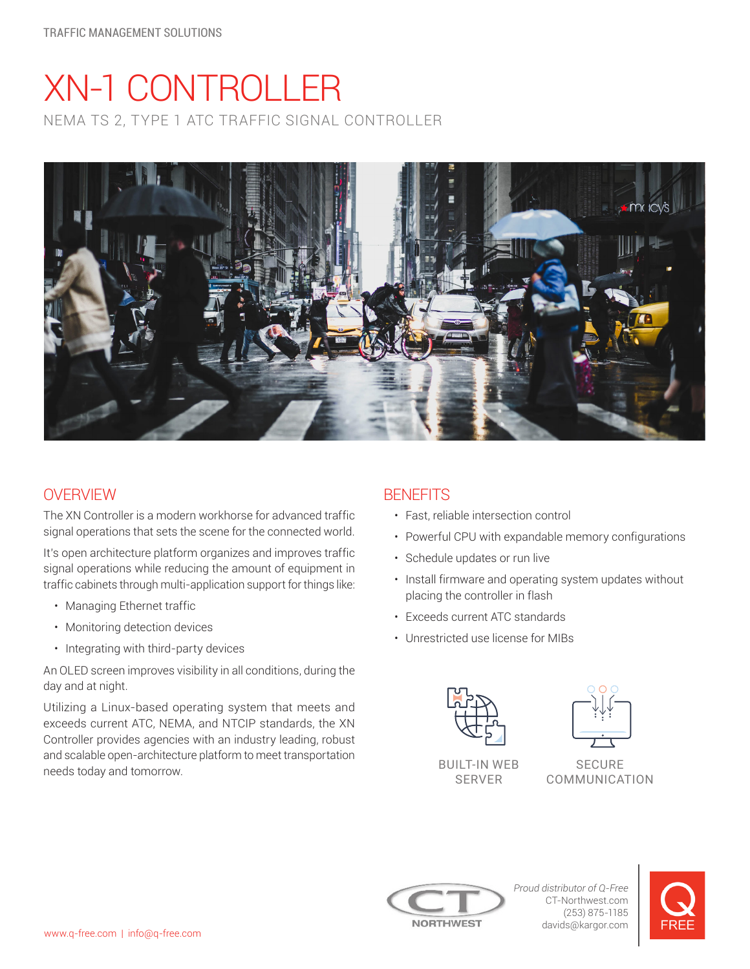# XN-1 CONTROLLER NEMA TS 2, TYPE 1 ATC TRAFFIC SIGNAL CONTROLLER



## **OVERVIEW**

The XN Controller is a modern workhorse for advanced traffic signal operations that sets the scene for the connected world.

It's open architecture platform organizes and improves traffic signal operations while reducing the amount of equipment in traffic cabinets through multi-application support for things like:

- Managing Ethernet traffic
- Monitoring detection devices
- Integrating with third-party devices

An OLED screen improves visibility in all conditions, during the day and at night.

Utilizing a Linux-based operating system that meets and exceeds current ATC, NEMA, and NTCIP standards, the XN Controller provides agencies with an industry leading, robust and scalable open-architecture platform to meet transportation needs today and tomorrow.

## **BENFFITS**

- Fast, reliable intersection control
- Powerful CPU with expandable memory configurations
- Schedule updates or run live
- Install firmware and operating system updates without placing the controller in flash
- Exceeds current ATC standards
- Unrestricted use license for MIBs



SERVER



SECURE COMMUNICATION



*Proud distributor of Q-Free* CT-Northwest.com (253) 875-1185 davids@kargor.com